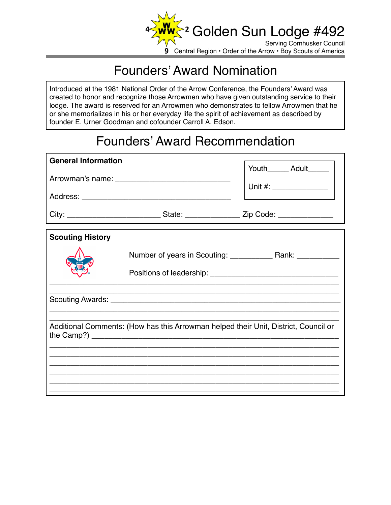

## Founders' Award Nomination

Introduced at the 1981 National Order of the Arrow Conference, the Founders' Award was created to honor and recognize those Arrowmen who have given outstanding service to their lodge. The award is reserved for an Arrowmen who demonstrates to fellow Arrowmen that he or she memorializes in his or her everyday life the spirit of achievement as described by founder E. Urner Goodman and cofounder Carroll A. Edson.

## Founders' Award Recommendation

| <b>General Information</b> |                                                                                                                       | Youth_______ Adult_______                                                                           |
|----------------------------|-----------------------------------------------------------------------------------------------------------------------|-----------------------------------------------------------------------------------------------------|
|                            |                                                                                                                       |                                                                                                     |
|                            |                                                                                                                       |                                                                                                     |
|                            |                                                                                                                       | City: __________________________________State: _____________________Zip Code: _____________________ |
| <b>Scouting History</b>    |                                                                                                                       |                                                                                                     |
|                            |                                                                                                                       |                                                                                                     |
|                            |                                                                                                                       |                                                                                                     |
|                            |                                                                                                                       | <u> 1980 - Jan Barat, Amerikaansk politiker (* 1908)</u>                                            |
|                            |                                                                                                                       | Additional Comments: (How has this Arrowman helped their Unit, District, Council or                 |
|                            |                                                                                                                       |                                                                                                     |
|                            | <u> 1989 - Johann Stoff, deutscher Stoff, der Stoff, der Stoff, der Stoff, der Stoff, der Stoff, der Stoff, der S</u> |                                                                                                     |
|                            |                                                                                                                       |                                                                                                     |